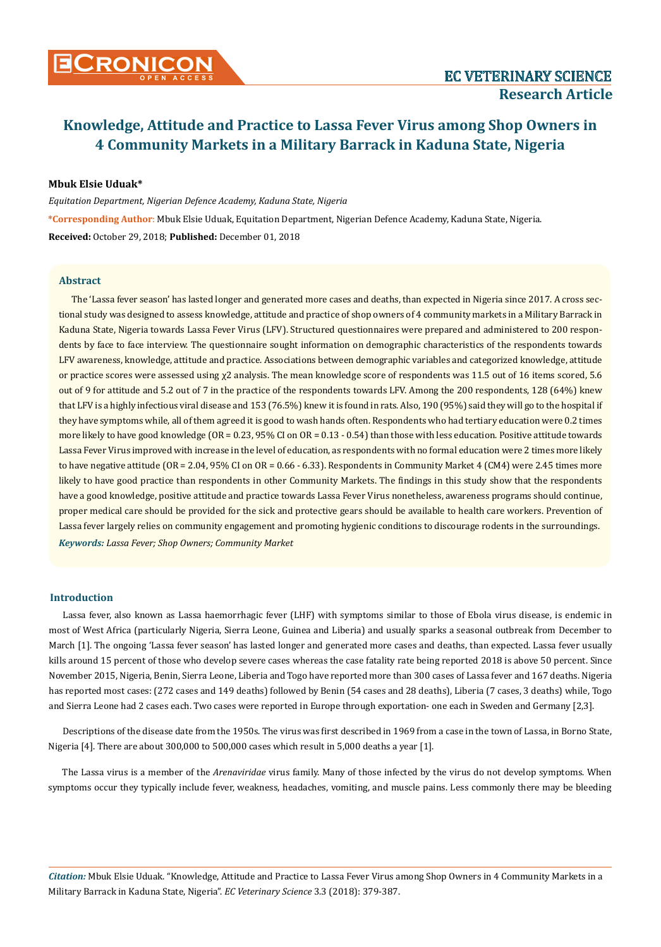

### **Mbuk Elsie Uduak\***

*Equitation Department, Nigerian Defence Academy, Kaduna State, Nigeria*  **\*Corresponding Author**: Mbuk Elsie Uduak, Equitation Department, Nigerian Defence Academy, Kaduna State, Nigeria. **Received:** October 29, 2018; **Published:** December 01, 2018

#### **Abstract**

*Keywords: Lassa Fever; Shop Owners; Community Market* The 'Lassa fever season' has lasted longer and generated more cases and deaths, than expected in Nigeria since 2017. A cross sectional study was designed to assess knowledge, attitude and practice of shop owners of 4 community markets in a Military Barrack in Kaduna State, Nigeria towards Lassa Fever Virus (LFV). Structured questionnaires were prepared and administered to 200 respondents by face to face interview. The questionnaire sought information on demographic characteristics of the respondents towards LFV awareness, knowledge, attitude and practice. Associations between demographic variables and categorized knowledge, attitude or practice scores were assessed using χ2 analysis. The mean knowledge score of respondents was 11.5 out of 16 items scored, 5.6 out of 9 for attitude and 5.2 out of 7 in the practice of the respondents towards LFV. Among the 200 respondents, 128 (64%) knew that LFV is a highly infectious viral disease and 153 (76.5%) knew it is found in rats. Also, 190 (95%) said they will go to the hospital if they have symptoms while, all of them agreed it is good to wash hands often. Respondents who had tertiary education were 0.2 times more likely to have good knowledge (OR = 0.23, 95% CI on OR = 0.13 - 0.54) than those with less education. Positive attitude towards Lassa Fever Virus improved with increase in the level of education, as respondents with no formal education were 2 times more likely to have negative attitude (OR = 2.04, 95% CI on OR = 0.66 - 6.33). Respondents in Community Market 4 (CM4) were 2.45 times more likely to have good practice than respondents in other Community Markets. The findings in this study show that the respondents have a good knowledge, positive attitude and practice towards Lassa Fever Virus nonetheless, awareness programs should continue, proper medical care should be provided for the sick and protective gears should be available to health care workers. Prevention of Lassa fever largely relies on community engagement and promoting hygienic conditions to discourage rodents in the surroundings.

#### **Introduction**

Lassa fever, also known as Lassa haemorrhagic fever (LHF) with symptoms similar to those of Ebola virus disease, is endemic in most of West Africa (particularly Nigeria, Sierra Leone, Guinea and Liberia) and usually sparks a seasonal outbreak from December to March [1]. The ongoing 'Lassa fever season' has lasted longer and generated more cases and deaths, than expected. Lassa fever usually kills around 15 percent of those who develop severe cases whereas the case fatality rate being reported 2018 is above 50 percent. Since November 2015, Nigeria, Benin, Sierra Leone, Liberia and Togo have reported more than 300 cases of Lassa fever and 167 deaths. Nigeria has reported most cases: (272 cases and 149 deaths) followed by Benin (54 cases and 28 deaths), Liberia (7 cases, 3 deaths) while, Togo and Sierra Leone had 2 cases each. Two cases were reported in Europe through exportation- one each in Sweden and Germany [2,3].

Descriptions of the disease date from the 1950s. The virus was first described in 1969 from a case in the town of Lassa, in Borno State, Nigeria [4]. There are about 300,000 to 500,000 cases which result in 5,000 deaths a year [1].

The Lassa virus is a member of the *Arenaviridae* virus family. Many of those infected by the virus do not develop symptoms. When symptoms occur they typically include fever, weakness, headaches, vomiting, and muscle pains. Less commonly there may be bleeding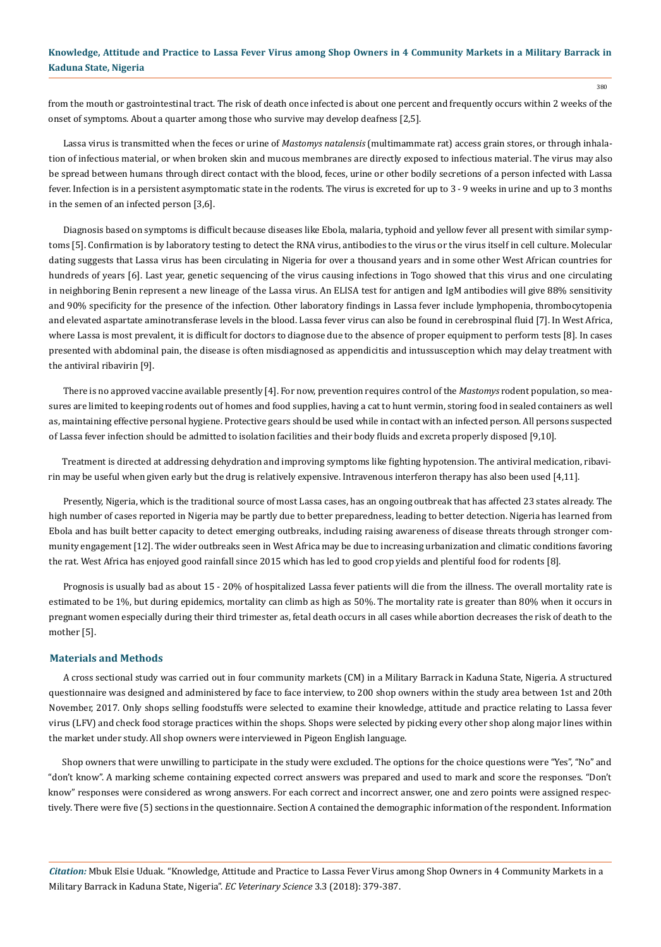from the mouth or gastrointestinal tract. The risk of death once infected is about one percent and frequently occurs within 2 weeks of the onset of symptoms. About a quarter among those who survive may develop deafness [2,5].

Lassa virus is transmitted when the feces or urine of *Mastomys natalensis* (multimammate rat) access grain stores, or through inhalation of infectious material, or when broken skin and mucous membranes are directly exposed to infectious material. The virus may also be spread between humans through direct contact with the blood, feces, urine or other bodily secretions of a person infected with Lassa fever. Infection is in a persistent asymptomatic state in the rodents. The virus is excreted for up to 3 - 9 weeks in urine and up to 3 months in the semen of an infected person [3,6].

Diagnosis based on symptoms is difficult because diseases like Ebola, malaria, typhoid and yellow fever all present with similar symptoms [5]. Confirmation is by laboratory testing to detect the RNA virus, antibodies to the virus or the virus itself in cell culture. Molecular dating suggests that Lassa virus has been circulating in Nigeria for over a thousand years and in some other West African countries for hundreds of years [6]. Last year, genetic sequencing of the virus causing infections in Togo showed that this virus and one circulating in neighboring Benin represent a new lineage of the Lassa virus. An ELISA test for antigen and IgM antibodies will give 88% sensitivity and 90% specificity for the presence of the infection. Other laboratory findings in Lassa fever include lymphopenia, thrombocytopenia and elevated aspartate aminotransferase levels in the blood. Lassa fever virus can also be found in cerebrospinal fluid [7]. In West Africa, where Lassa is most prevalent, it is difficult for doctors to diagnose due to the absence of proper equipment to perform tests [8]. In cases presented with abdominal pain, the disease is often misdiagnosed as appendicitis and intussusception which may delay treatment with the antiviral ribavirin [9].

There is no approved vaccine available presently [4]. For now, prevention requires control of the *Mastomys* rodent population, so measures are limited to keeping rodents out of homes and food supplies, having a cat to hunt vermin, storing food in sealed containers as well as, maintaining effective personal hygiene. Protective gears should be used while in contact with an infected person. All persons suspected of Lassa fever infection should be admitted to isolation facilities and their body fluids and excreta properly disposed [9,10].

Treatment is directed at addressing dehydration and improving symptoms like fighting hypotension. The antiviral medication, ribavirin may be useful when given early but the drug is relatively expensive. Intravenous interferon therapy has also been used [4,11].

Presently, Nigeria, which is the traditional source of most Lassa cases, has an ongoing outbreak that has affected 23 states already. The high number of cases reported in Nigeria may be partly due to better preparedness, leading to better detection. Nigeria has learned from Ebola and has built better capacity to detect emerging outbreaks, including raising awareness of disease threats through stronger community engagement [12]. The wider outbreaks seen in West Africa may be due to increasing urbanization and climatic conditions favoring the rat. West Africa has enjoyed good rainfall since 2015 which has led to good crop yields and plentiful food for rodents [8].

Prognosis is usually bad as about 15 - 20% of hospitalized Lassa fever patients will die from the illness. The overall mortality rate is estimated to be 1%, but during epidemics, mortality can climb as high as 50%. The mortality rate is greater than 80% when it occurs in pregnant women especially during their third trimester as, fetal death occurs in all cases while abortion decreases the risk of death to the mother [5].

#### **Materials and Methods**

A cross sectional study was carried out in four community markets (CM) in a Military Barrack in Kaduna State, Nigeria. A structured questionnaire was designed and administered by face to face interview, to 200 shop owners within the study area between 1st and 20th November, 2017. Only shops selling foodstuffs were selected to examine their knowledge, attitude and practice relating to Lassa fever virus (LFV) and check food storage practices within the shops. Shops were selected by picking every other shop along major lines within the market under study. All shop owners were interviewed in Pigeon English language.

Shop owners that were unwilling to participate in the study were excluded. The options for the choice questions were "Yes", "No" and "don't know". A marking scheme containing expected correct answers was prepared and used to mark and score the responses. "Don't know" responses were considered as wrong answers. For each correct and incorrect answer, one and zero points were assigned respectively. There were five (5) sections in the questionnaire. Section A contained the demographic information of the respondent. Information

*Citation:* Mbuk Elsie Uduak. "Knowledge, Attitude and Practice to Lassa Fever Virus among Shop Owners in 4 Community Markets in a Military Barrack in Kaduna State, Nigeria". *EC Veterinary Science* 3.3 (2018): 379-387.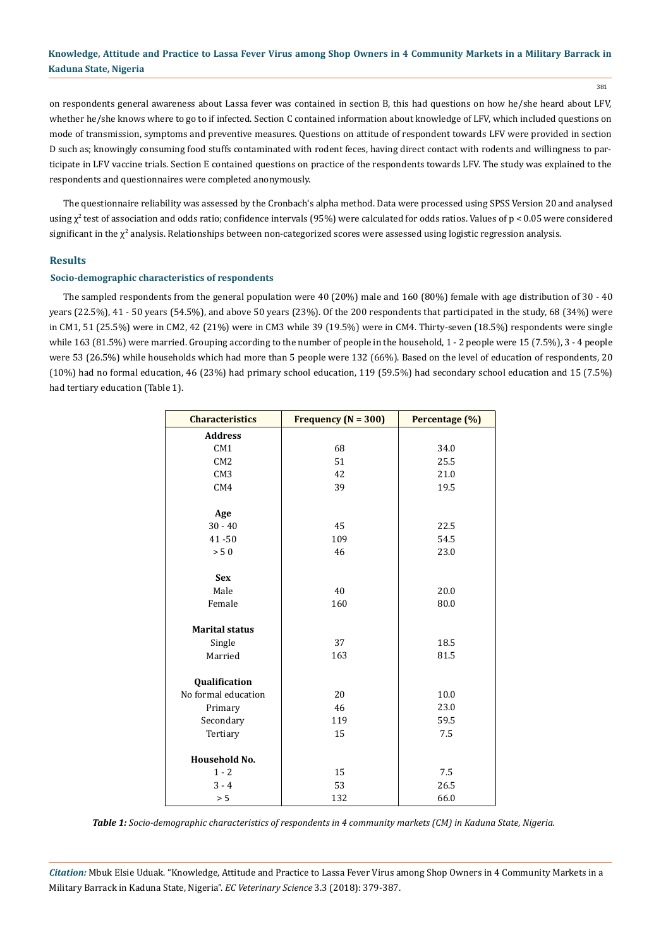381

on respondents general awareness about Lassa fever was contained in section B, this had questions on how he/she heard about LFV, whether he/she knows where to go to if infected. Section C contained information about knowledge of LFV, which included questions on mode of transmission, symptoms and preventive measures. Questions on attitude of respondent towards LFV were provided in section D such as; knowingly consuming food stuffs contaminated with rodent feces, having direct contact with rodents and willingness to participate in LFV vaccine trials. Section E contained questions on practice of the respondents towards LFV. The study was explained to the respondents and questionnaires were completed anonymously.

The questionnaire reliability was assessed by the Cronbach's alpha method. Data were processed using SPSS Version 20 and analysed using  $\chi^2$  test of association and odds ratio; confidence intervals (95%) were calculated for odds ratios. Values of p < 0.05 were considered significant in the  $\chi^2$  analysis. Relationships between non-categorized scores were assessed using logistic regression analysis.

### **Results**

#### **Socio-demographic characteristics of respondents**

The sampled respondents from the general population were 40 (20%) male and 160 (80%) female with age distribution of 30 - 40 years (22.5%), 41 - 50 years (54.5%), and above 50 years (23%). Of the 200 respondents that participated in the study, 68 (34%) were in CM1, 51 (25.5%) were in CM2, 42 (21%) were in CM3 while 39 (19.5%) were in CM4. Thirty-seven (18.5%) respondents were single while 163 (81.5%) were married. Grouping according to the number of people in the household, 1 - 2 people were 15 (7.5%), 3 - 4 people were 53 (26.5%) while households which had more than 5 people were 132 (66%). Based on the level of education of respondents, 20 (10%) had no formal education, 46 (23%) had primary school education, 119 (59.5%) had secondary school education and 15 (7.5%) had tertiary education (Table 1).

| <b>Characteristics</b> | Frequency ( $N = 300$ ) | Percentage (%) |  |
|------------------------|-------------------------|----------------|--|
| <b>Address</b>         |                         |                |  |
| CM1                    | 68                      | 34.0           |  |
| CM <sub>2</sub>        | 51                      | 25.5           |  |
| CM <sub>3</sub>        | 42                      | 21.0           |  |
| CM4                    | 39                      | 19.5           |  |
|                        |                         |                |  |
| Age                    |                         |                |  |
| $30 - 40$              | 45                      | 22.5           |  |
| $41 - 50$              | 109                     | 54.5           |  |
| $> 50$                 | 46                      | 23.0           |  |
|                        |                         |                |  |
| <b>Sex</b>             |                         |                |  |
| Male                   | 40                      | 20.0           |  |
| Female                 | 160                     | 80.0           |  |
|                        |                         |                |  |
| <b>Marital status</b>  |                         |                |  |
| Single                 | 37                      | 18.5           |  |
| Married                | 163                     | 81.5           |  |
|                        |                         |                |  |
| Qualification          |                         |                |  |
| No formal education    | 20                      | 10.0           |  |
| Primary                | 46                      | 23.0           |  |
| Secondary              | 119                     | 59.5           |  |
| Tertiary               | 15                      | 7.5            |  |
|                        |                         |                |  |
| Household No.          |                         |                |  |
| $1 - 2$                | 15                      | 7.5            |  |
| $3 - 4$                | 53                      | 26.5           |  |
| > 5                    | 132                     | 66.0           |  |

*Table 1: Socio-demographic characteristics of respondents in 4 community markets (CM) in Kaduna State, Nigeria.*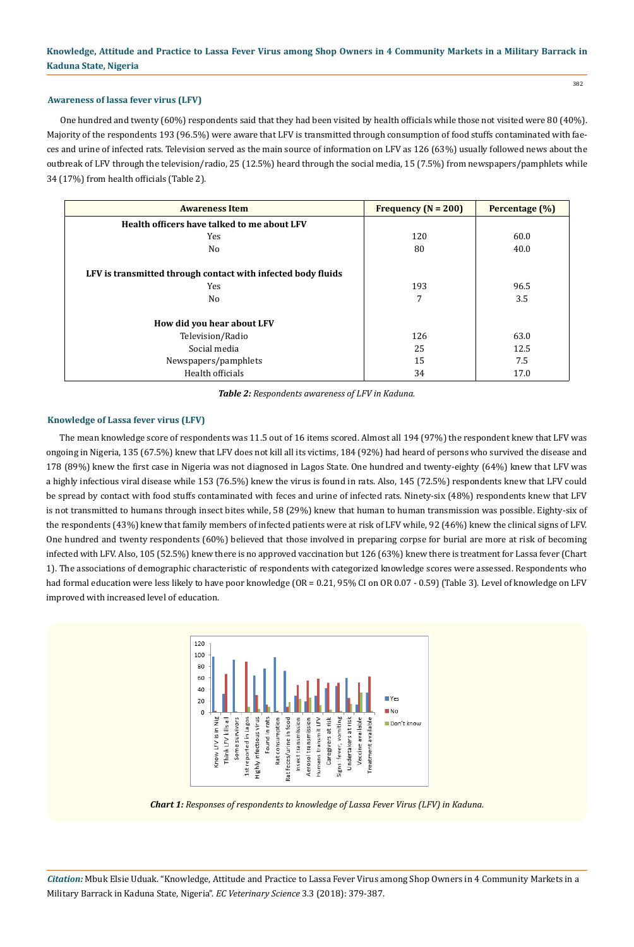# **Awareness of lassa fever virus (LFV)**

One hundred and twenty (60%) respondents said that they had been visited by health officials while those not visited were 80 (40%). Majority of the respondents 193 (96.5%) were aware that LFV is transmitted through consumption of food stuffs contaminated with faeces and urine of infected rats. Television served as the main source of information on LFV as 126 (63%) usually followed news about the outbreak of LFV through the television/radio, 25 (12.5%) heard through the social media, 15 (7.5%) from newspapers/pamphlets while 34 (17%) from health officials (Table 2).

| <b>Awareness Item</b>                                        | Frequency ( $N = 200$ ) | Percentage (%) |
|--------------------------------------------------------------|-------------------------|----------------|
| Health officers have talked to me about LFV                  |                         |                |
| Yes                                                          | 120                     | 60.0           |
| No.                                                          | 80                      | 40.0           |
| LFV is transmitted through contact with infected body fluids |                         |                |
| Yes                                                          | 193                     | 96.5           |
| N <sub>0</sub>                                               | 7                       | 3.5            |
| How did you hear about LFV                                   |                         |                |
| Television/Radio                                             | 126                     | 63.0           |
| Social media                                                 | 25                      | 12.5           |
| Newspapers/pamphlets                                         | 15                      | 7.5            |
| Health officials                                             | 34                      | 17.0           |

*Table 2: Respondents awareness of LFV in Kaduna.*

### **Knowledge of Lassa fever virus (LFV)**

The mean knowledge score of respondents was 11.5 out of 16 items scored. Almost all 194 (97%) the respondent knew that LFV was ongoing in Nigeria, 135 (67.5%) knew that LFV does not kill all its victims, 184 (92%) had heard of persons who survived the disease and 178 (89%) knew the first case in Nigeria was not diagnosed in Lagos State. One hundred and twenty-eighty (64%) knew that LFV was a highly infectious viral disease while 153 (76.5%) knew the virus is found in rats. Also, 145 (72.5%) respondents knew that LFV could be spread by contact with food stuffs contaminated with feces and urine of infected rats. Ninety-six (48%) respondents knew that LFV is not transmitted to humans through insect bites while, 58 (29%) knew that human to human transmission was possible. Eighty-six of the respondents (43%) knew that family members of infected patients were at risk of LFV while, 92 (46%) knew the clinical signs of LFV. One hundred and twenty respondents (60%) believed that those involved in preparing corpse for burial are more at risk of becoming infected with LFV. Also, 105 (52.5%) knew there is no approved vaccination but 126 (63%) knew there is treatment for Lassa fever (Chart 1). The associations of demographic characteristic of respondents with categorized knowledge scores were assessed. Respondents who had formal education were less likely to have poor knowledge (OR = 0.21, 95% CI on OR 0.07 - 0.59) (Table 3). Level of knowledge on LFV improved with increased level of education.



*Chart 1: Responses of respondents to knowledge of Lassa Fever Virus (LFV) in Kaduna.*

*Citation:* Mbuk Elsie Uduak. "Knowledge, Attitude and Practice to Lassa Fever Virus among Shop Owners in 4 Community Markets in a Military Barrack in Kaduna State, Nigeria". *EC Veterinary Science* 3.3 (2018): 379-387.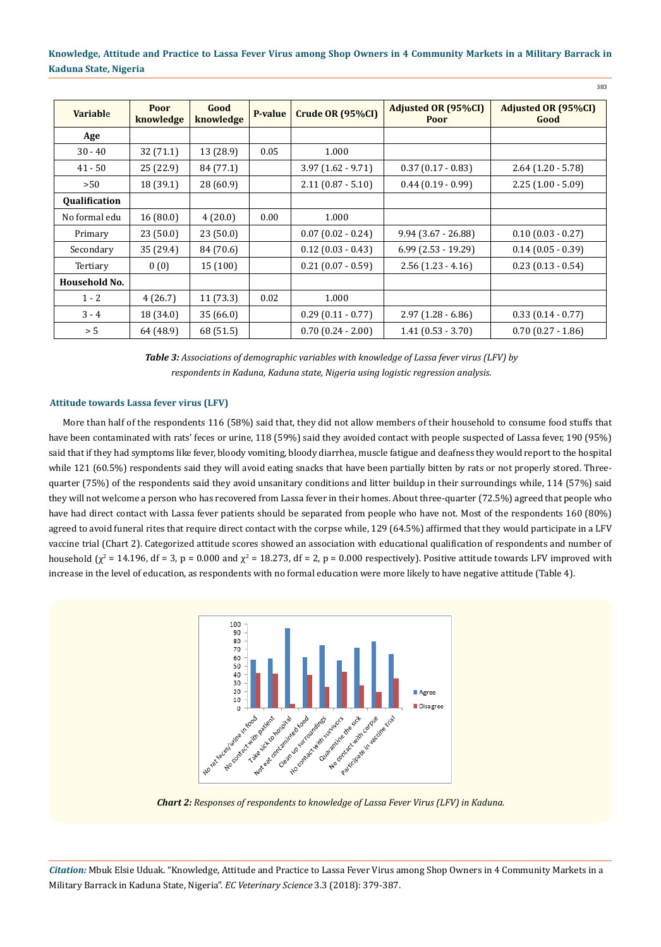383

| <b>Variable</b> | Poor<br>knowledge | Good<br>knowledge | P-value | Crude OR (95%CI)     | Adjusted OR (95%CI)<br>Poor | <b>Adjusted OR (95%CI)</b><br>Good |
|-----------------|-------------------|-------------------|---------|----------------------|-----------------------------|------------------------------------|
| Age             |                   |                   |         |                      |                             |                                    |
| $30 - 40$       | 32 (71.1)         | 13 (28.9)         | 0.05    | 1.000                |                             |                                    |
| $41 - 50$       | 25 (22.9)         | 84 (77.1)         |         | $3.97(1.62 - 9.71)$  | $0.37(0.17 - 0.83)$         | $2.64$ (1.20 - 5.78)               |
| >50             | 18 (39.1)         | 28 (60.9)         |         | $2.11(0.87 - 5.10)$  | $0.44(0.19 - 0.99)$         | $2.25(1.00 - 5.09)$                |
| Qualification   |                   |                   |         |                      |                             |                                    |
| No formal edu   | 16(80.0)          | 4(20.0)           | 0.00    | 1.000                |                             |                                    |
| Primary         | 23(50.0)          | 23(50.0)          |         | $0.07(0.02 - 0.24)$  | $9.94(3.67 - 26.88)$        | $0.10(0.03 - 0.27)$                |
| Secondary       | 35 (29.4)         | 84 (70.6)         |         | $0.12$ (0.03 - 0.43) | $6.99$ (2.53 - 19.29)       | $0.14(0.05 - 0.39)$                |
| Tertiary        | 0(0)              | 15 (100)          |         | $0.21(0.07 - 0.59)$  | $2.56(1.23 - 4.16)$         | $0.23(0.13 - 0.54)$                |
| Household No.   |                   |                   |         |                      |                             |                                    |
| $1 - 2$         | 4(26.7)           | 11(73.3)          | 0.02    | 1.000                |                             |                                    |
| $3 - 4$         | 18 (34.0)         | 35(66.0)          |         | $0.29(0.11 - 0.77)$  | $2.97(1.28 - 6.86)$         | $0.33(0.14 - 0.77)$                |
| > 5             | 64 (48.9)         | 68 (51.5)         |         | $0.70(0.24 - 2.00)$  | $1.41(0.53 - 3.70)$         | $0.70(0.27 - 1.86)$                |

*Table 3: Associations of demographic variables with knowledge of Lassa fever virus (LFV) by respondents in Kaduna, Kaduna state, Nigeria using logistic regression analysis.*

### **Attitude towards Lassa fever virus (LFV)**

More than half of the respondents 116 (58%) said that, they did not allow members of their household to consume food stuffs that have been contaminated with rats' feces or urine, 118 (59%) said they avoided contact with people suspected of Lassa fever, 190 (95%) said that if they had symptoms like fever, bloody vomiting, bloody diarrhea, muscle fatigue and deafness they would report to the hospital while 121 (60.5%) respondents said they will avoid eating snacks that have been partially bitten by rats or not properly stored. Threequarter (75%) of the respondents said they avoid unsanitary conditions and litter buildup in their surroundings while, 114 (57%) said they will not welcome a person who has recovered from Lassa fever in their homes. About three-quarter (72.5%) agreed that people who have had direct contact with Lassa fever patients should be separated from people who have not. Most of the respondents 160 (80%) agreed to avoid funeral rites that require direct contact with the corpse while, 129 (64.5%) affirmed that they would participate in a LFV vaccine trial (Chart 2). Categorized attitude scores showed an association with educational qualification of respondents and number of household ( $\chi^2$  = 14.196, df = 3, p = 0.000 and  $\chi^2$  = 18.273, df = 2, p = 0.000 respectively). Positive attitude towards LFV improved with increase in the level of education, as respondents with no formal education were more likely to have negative attitude (Table 4).



*Chart 2: Responses of respondents to knowledge of Lassa Fever Virus (LFV) in Kaduna.*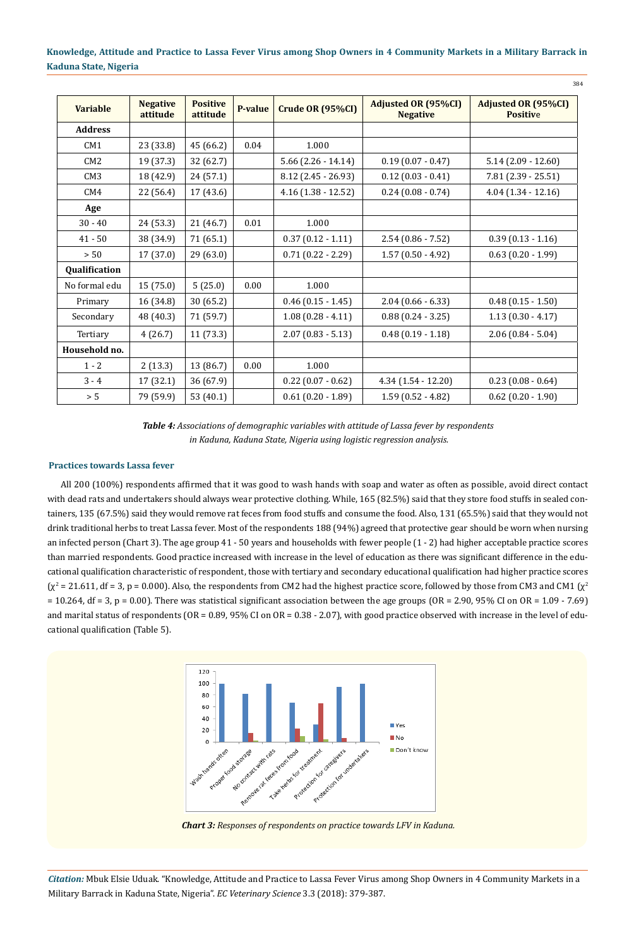384

| <b>Variable</b> | <b>Negative</b><br>attitude | <b>Positive</b><br>attitude | P-value | Crude OR (95%CI)        | <b>Adjusted OR (95%CI)</b><br><b>Negative</b> | <b>Adjusted OR (95%CI)</b><br><b>Positive</b> |
|-----------------|-----------------------------|-----------------------------|---------|-------------------------|-----------------------------------------------|-----------------------------------------------|
| <b>Address</b>  |                             |                             |         |                         |                                               |                                               |
| CM1             | 23 (33.8)                   | 45 (66.2)                   | 0.04    | 1.000                   |                                               |                                               |
| CM2             | 19 (37.3)                   | 32 (62.7)                   |         | $5.66$ $(2.26 - 14.14)$ | $0.19(0.07 - 0.47)$                           | $5.14(2.09 - 12.60)$                          |
| CM3             | 18 (42.9)                   | 24(57.1)                    |         | $8.12$ (2.45 - 26.93)   | $0.12$ (0.03 - 0.41)                          | $7.81(2.39 - 25.51)$                          |
| CM4             | 22 (56.4)                   | 17(43.6)                    |         | $4.16(1.38 - 12.52)$    | $0.24(0.08 - 0.74)$                           | $4.04(1.34-12.16)$                            |
| Age             |                             |                             |         |                         |                                               |                                               |
| $30 - 40$       | 24 (53.3)                   | 21 (46.7)                   | 0.01    | 1.000                   |                                               |                                               |
| $41 - 50$       | 38 (34.9)                   | 71 (65.1)                   |         | $0.37(0.12 - 1.11)$     | $2.54(0.86 - 7.52)$                           | $0.39(0.13 - 1.16)$                           |
| $> 50$          | 17(37.0)                    | 29(63.0)                    |         | $0.71(0.22 - 2.29)$     | $1.57(0.50 - 4.92)$                           | $0.63(0.20 - 1.99)$                           |
| Qualification   |                             |                             |         |                         |                                               |                                               |
| No formal edu   | 15(75.0)                    | 5(25.0)                     | 0.00    | 1.000                   |                                               |                                               |
| Primary         | 16 (34.8)                   | 30(65.2)                    |         | $0.46$ (0.15 - 1.45)    | $2.04(0.66 - 6.33)$                           | $0.48(0.15 - 1.50)$                           |
| Secondary       | 48 (40.3)                   | 71 (59.7)                   |         | $1.08(0.28 - 4.11)$     | $0.88(0.24 - 3.25)$                           | $1.13(0.30 - 4.17)$                           |
| Tertiary        | 4(26.7)                     | 11(73.3)                    |         | $2.07(0.83 - 5.13)$     | $0.48(0.19 - 1.18)$                           | $2.06(0.84 - 5.04)$                           |
| Household no.   |                             |                             |         |                         |                                               |                                               |
| $1 - 2$         | 2(13.3)                     | 13 (86.7)                   | 0.00    | 1.000                   |                                               |                                               |
| $3 - 4$         | 17(32.1)                    | 36(67.9)                    |         | $0.22$ (0.07 - 0.62)    | $4.34(1.54 - 12.20)$                          | $0.23(0.08 - 0.64)$                           |
| $> 5$           | 79 (59.9)                   | 53 (40.1)                   |         | $0.61(0.20 - 1.89)$     | $1.59(0.52 - 4.82)$                           | $0.62$ (0.20 - 1.90)                          |

*Table 4: Associations of demographic variables with attitude of Lassa fever by respondents in Kaduna, Kaduna State, Nigeria using logistic regression analysis.*

#### **Practices towards Lassa fever**

All 200 (100%) respondents affirmed that it was good to wash hands with soap and water as often as possible, avoid direct contact with dead rats and undertakers should always wear protective clothing. While, 165 (82.5%) said that they store food stuffs in sealed containers, 135 (67.5%) said they would remove rat feces from food stuffs and consume the food. Also, 131 (65.5%) said that they would not drink traditional herbs to treat Lassa fever. Most of the respondents 188 (94%) agreed that protective gear should be worn when nursing an infected person (Chart 3). The age group 41 - 50 years and households with fewer people (1 - 2) had higher acceptable practice scores than married respondents. Good practice increased with increase in the level of education as there was significant difference in the educational qualification characteristic of respondent, those with tertiary and secondary educational qualification had higher practice scores  $(\chi^2$  = 21.611, df = 3, p = 0.000). Also, the respondents from CM2 had the highest practice score, followed by those from CM3 and CM1  $(\chi^2$  $= 10.264$ , df = 3, p = 0.00). There was statistical significant association between the age groups (OR = 2.90, 95% CI on OR = 1.09 - 7.69) and marital status of respondents (OR = 0.89, 95% CI on OR = 0.38 - 2.07), with good practice observed with increase in the level of educational qualification (Table 5).



*Chart 3: Responses of respondents on practice towards LFV in Kaduna.*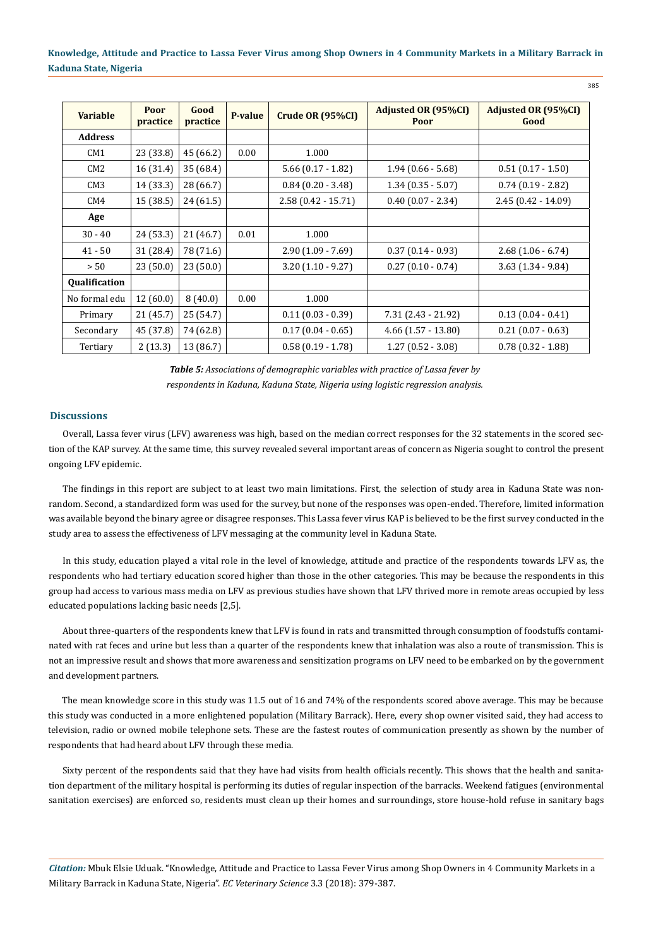| <b>Variable</b> | Poor<br>practice | Good<br>practice | P-value | Crude OR (95%CI)     | <b>Adjusted OR (95%CI)</b><br>Poor | <b>Adjusted OR (95%CI)</b><br>Good |
|-----------------|------------------|------------------|---------|----------------------|------------------------------------|------------------------------------|
| <b>Address</b>  |                  |                  |         |                      |                                    |                                    |
| CM1             | 23 (33.8)        | 45 (66.2)        | 0.00    | 1.000                |                                    |                                    |
| CM2             | 16 (31.4)        | 35 (68.4)        |         | $5.66(0.17 - 1.82)$  | $1.94(0.66 - 5.68)$                | $0.51(0.17 - 1.50)$                |
| CM <sub>3</sub> | 14 (33.3)        | 28 (66.7)        |         | $0.84$ (0.20 - 3.48) | $1.34(0.35 - 5.07)$                | $0.74(0.19 - 2.82)$                |
| CM4             | 15(38.5)         | 24(61.5)         |         | $2.58(0.42 - 15.71)$ | $0.40$ (0.07 - 2.34)               | $2.45(0.42 - 14.09)$               |
| Age             |                  |                  |         |                      |                                    |                                    |
| $30 - 40$       | 24(53.3)         | 21 (46.7)        | 0.01    | 1.000                |                                    |                                    |
| $41 - 50$       | 31 (28.4)        | 78 (71.6)        |         | $2.90(1.09 - 7.69)$  | $0.37(0.14 - 0.93)$                | $2.68(1.06 - 6.74)$                |
| > 50            | 23(50.0)         | 23(50.0)         |         | $3.20(1.10 - 9.27)$  | $0.27(0.10 - 0.74)$                | $3.63$ $(1.34 - 9.84)$             |
| Qualification   |                  |                  |         |                      |                                    |                                    |
| No formal edu   | 12(60.0)         | 8(40.0)          | 0.00    | 1.000                |                                    |                                    |
| Primary         | 21(45.7)         | 25 (54.7)        |         | $0.11(0.03 - 0.39)$  | 7.31 (2.43 - 21.92)                | $0.13(0.04 - 0.41)$                |
| Secondary       | 45 (37.8)        | 74 (62.8)        |         | $0.17(0.04 - 0.65)$  | $4.66$ $(1.57 - 13.80)$            | $0.21(0.07 - 0.63)$                |
| Tertiary        | 2(13.3)          | 13 (86.7)        |         | $0.58(0.19 - 1.78)$  | $1.27(0.52 - 3.08)$                | $0.78(0.32 - 1.88)$                |

*Table 5: Associations of demographic variables with practice of Lassa fever by respondents in Kaduna, Kaduna State, Nigeria using logistic regression analysis.*

### **Discussions**

Overall, Lassa fever virus (LFV) awareness was high, based on the median correct responses for the 32 statements in the scored section of the KAP survey. At the same time, this survey revealed several important areas of concern as Nigeria sought to control the present ongoing LFV epidemic.

The findings in this report are subject to at least two main limitations. First, the selection of study area in Kaduna State was nonrandom. Second, a standardized form was used for the survey, but none of the responses was open-ended. Therefore, limited information was available beyond the binary agree or disagree responses. This Lassa fever virus KAP is believed to be the first survey conducted in the study area to assess the effectiveness of LFV messaging at the community level in Kaduna State.

In this study, education played a vital role in the level of knowledge, attitude and practice of the respondents towards LFV as, the respondents who had tertiary education scored higher than those in the other categories. This may be because the respondents in this group had access to various mass media on LFV as previous studies have shown that LFV thrived more in remote areas occupied by less educated populations lacking basic needs [2,5].

About three-quarters of the respondents knew that LFV is found in rats and transmitted through consumption of foodstuffs contaminated with rat feces and urine but less than a quarter of the respondents knew that inhalation was also a route of transmission. This is not an impressive result and shows that more awareness and sensitization programs on LFV need to be embarked on by the government and development partners.

The mean knowledge score in this study was 11.5 out of 16 and 74% of the respondents scored above average. This may be because this study was conducted in a more enlightened population (Military Barrack). Here, every shop owner visited said, they had access to television, radio or owned mobile telephone sets. These are the fastest routes of communication presently as shown by the number of respondents that had heard about LFV through these media.

Sixty percent of the respondents said that they have had visits from health officials recently. This shows that the health and sanitation department of the military hospital is performing its duties of regular inspection of the barracks. Weekend fatigues (environmental sanitation exercises) are enforced so, residents must clean up their homes and surroundings, store house-hold refuse in sanitary bags

*Citation:* Mbuk Elsie Uduak. "Knowledge, Attitude and Practice to Lassa Fever Virus among Shop Owners in 4 Community Markets in a Military Barrack in Kaduna State, Nigeria". *EC Veterinary Science* 3.3 (2018): 379-387.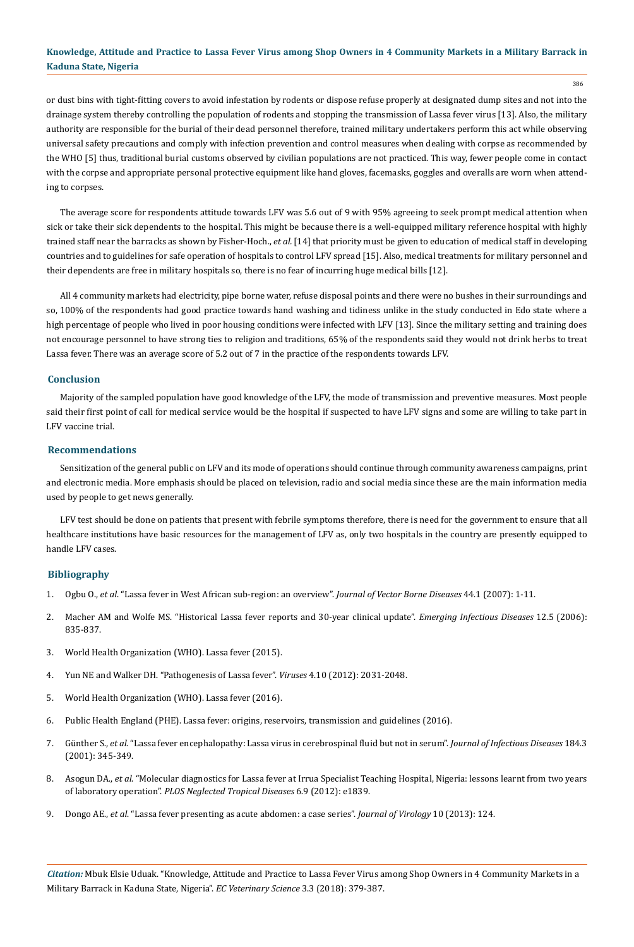386

or dust bins with tight-fitting covers to avoid infestation by rodents or dispose refuse properly at designated dump sites and not into the drainage system thereby controlling the population of rodents and stopping the transmission of Lassa fever virus [13]. Also, the military authority are responsible for the burial of their dead personnel therefore, trained military undertakers perform this act while observing universal safety precautions and comply with infection prevention and control measures when dealing with corpse as recommended by the WHO [5] thus, traditional burial customs observed by civilian populations are not practiced. This way, fewer people come in contact with the corpse and appropriate personal protective equipment like hand gloves, facemasks, goggles and overalls are worn when attending to corpses.

The average score for respondents attitude towards LFV was 5.6 out of 9 with 95% agreeing to seek prompt medical attention when sick or take their sick dependents to the hospital. This might be because there is a well-equipped military reference hospital with highly trained staff near the barracks as shown by Fisher-Hoch., *et al.* [14] that priority must be given to education of medical staff in developing countries and to guidelines for safe operation of hospitals to control LFV spread [15]. Also, medical treatments for military personnel and their dependents are free in military hospitals so, there is no fear of incurring huge medical bills [12].

All 4 community markets had electricity, pipe borne water, refuse disposal points and there were no bushes in their surroundings and so, 100% of the respondents had good practice towards hand washing and tidiness unlike in the study conducted in Edo state where a high percentage of people who lived in poor housing conditions were infected with LFV [13]. Since the military setting and training does not encourage personnel to have strong ties to religion and traditions, 65% of the respondents said they would not drink herbs to treat Lassa fever. There was an average score of 5.2 out of 7 in the practice of the respondents towards LFV.

#### **Conclusion**

Majority of the sampled population have good knowledge of the LFV, the mode of transmission and preventive measures. Most people said their first point of call for medical service would be the hospital if suspected to have LFV signs and some are willing to take part in LFV vaccine trial.

#### **Recommendations**

Sensitization of the general public on LFV and its mode of operations should continue through community awareness campaigns, print and electronic media. More emphasis should be placed on television, radio and social media since these are the main information media used by people to get news generally.

LFV test should be done on patients that present with febrile symptoms therefore, there is need for the government to ensure that all healthcare institutions have basic resources for the management of LFV as, only two hospitals in the country are presently equipped to handle LFV cases.

### **Bibliography**

- 1. Ogbu O., *et al*[. "Lassa fever in West African sub-region: an overview".](https://www.ncbi.nlm.nih.gov/pubmed/17378212) *Journal of Vector Borne Diseases* 44.1 (2007): 1-11.
- 2. [Macher AM and Wolfe MS. "Historical Lassa fever reports and 30-year clinical update".](https://www.ncbi.nlm.nih.gov/pmc/articles/PMC3374442/) *Emerging Infectious Diseases* 12.5 (2006): [835-837.](https://www.ncbi.nlm.nih.gov/pmc/articles/PMC3374442/)
- 3. [World Health Organization \(WHO\). Lassa fever \(2015\).](http://www.who.int/csr/don/28-may-2015-lassa-fever-usa/en/)
- 4. [Yun NE and Walker DH. "Pathogenesis of Lassa fever".](https://www.ncbi.nlm.nih.gov/pmc/articles/PMC3497040/) *Viruses* 4.10 (2012): 2031-2048.
- 5. [World Health Organization \(WHO\). Lassa fever \(2016\).](http://www.who.int/csr/don/27-may-2016-lassa-fever-nigeria/en/)
- 6. [Public Health England \(PHE\). Lassa fever: origins, reservoirs, transmission and guidelines \(2016\).](https://www.gov.uk/guidance/lassa-fever-origins-reservoirs-transmission-and-guidelines)
- 7. Günther S., *et al*[. "Lassa fever encephalopathy: Lassa virus in cerebrospinal fluid but not in serum".](https://www.ncbi.nlm.nih.gov/pubmed/11443561) *Journal of Infectious Diseases* 184.3 [\(2001\): 345-349.](https://www.ncbi.nlm.nih.gov/pubmed/11443561)
- 8. Asogun DA., *et al*[. "Molecular diagnostics for Lassa fever at Irrua Specialist Teaching Hospital, Nigeria: lessons learnt from two years](https://www.ncbi.nlm.nih.gov/pubmed/23029594) of laboratory operation". *[PLOS Neglected Tropical Diseases](https://www.ncbi.nlm.nih.gov/pubmed/23029594)* 6.9 (2012): e1839.
- 9. Dongo AE., *et al*[. "Lassa fever presenting as acute abdomen: a case series".](https://www.ncbi.nlm.nih.gov/pubmed/23597024) *Journal of Virology* 10 (2013): 124.